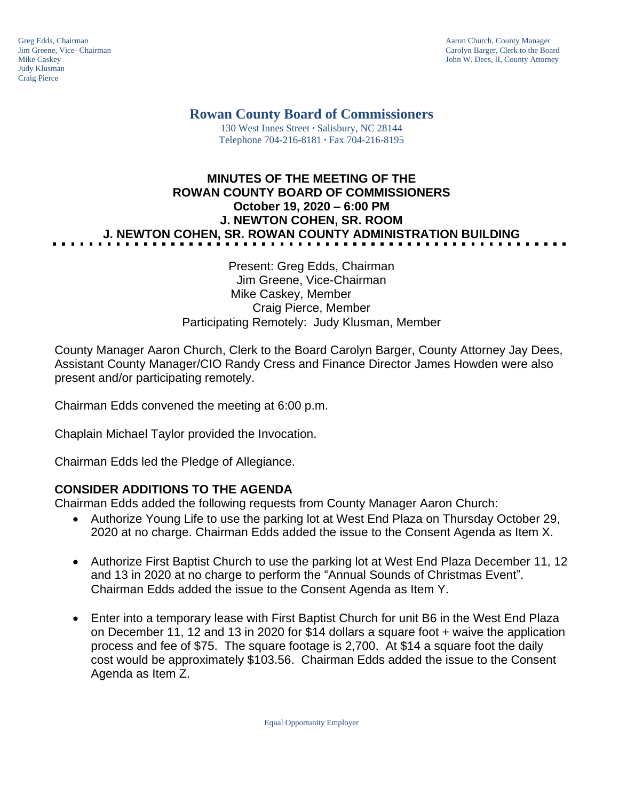Judy Klusman Craig Pierce

Greg Edds, Chairman Aaron Church, County Manager<br>
1989 - Garolyn Barger, Clerk to the Boa<br>
Carolyn Barger, Clerk to the Boa Jim Greene, Vice- Chairman Carolyn Barger, Clerk to the Board John W. Dees, II, County Attorney

# **Rowan County Board of Commissioners**

130 West Innes Street **∙** Salisbury, NC 28144 Telephone 704-216-8181 **∙** Fax 704-216-8195

# **MINUTES OF THE MEETING OF THE ROWAN COUNTY BOARD OF COMMISSIONERS October 19, 2020 – 6:00 PM J. NEWTON COHEN, SR. ROOM J. NEWTON COHEN, SR. ROWAN COUNTY ADMINISTRATION BUILDING**

Present: Greg Edds, Chairman Jim Greene, Vice-Chairman Mike Caskey, Member Craig Pierce, Member Participating Remotely: Judy Klusman, Member

County Manager Aaron Church, Clerk to the Board Carolyn Barger, County Attorney Jay Dees, Assistant County Manager/CIO Randy Cress and Finance Director James Howden were also present and/or participating remotely.

Chairman Edds convened the meeting at 6:00 p.m.

Chaplain Michael Taylor provided the Invocation.

Chairman Edds led the Pledge of Allegiance.

#### **CONSIDER ADDITIONS TO THE AGENDA**

Chairman Edds added the following requests from County Manager Aaron Church:

- Authorize Young Life to use the parking lot at West End Plaza on Thursday October 29, 2020 at no charge. Chairman Edds added the issue to the Consent Agenda as Item X.
- Authorize First Baptist Church to use the parking lot at West End Plaza December 11, 12 and 13 in 2020 at no charge to perform the "Annual Sounds of Christmas Event". Chairman Edds added the issue to the Consent Agenda as Item Y.
- Enter into a temporary lease with First Baptist Church for unit B6 in the West End Plaza on December 11, 12 and 13 in 2020 for \$14 dollars a square foot + waive the application process and fee of \$75. The square footage is 2,700. At \$14 a square foot the daily cost would be approximately \$103.56. Chairman Edds added the issue to the Consent Agenda as Item Z.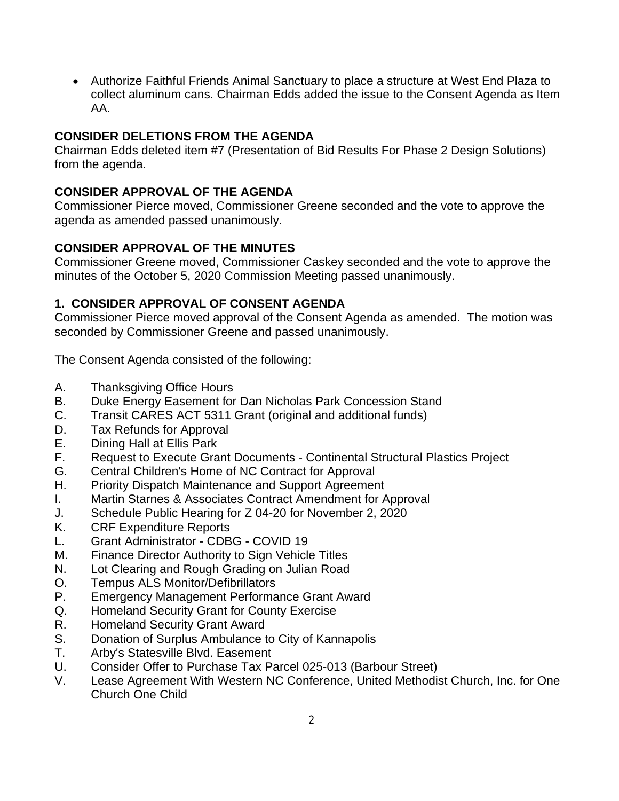Authorize Faithful Friends Animal Sanctuary to place a structure at West End Plaza to collect aluminum cans. Chairman Edds added the issue to the Consent Agenda as Item AA.

## **CONSIDER DELETIONS FROM THE AGENDA**

Chairman Edds deleted item #7 (Presentation of Bid Results For Phase 2 Design Solutions) from the agenda.

### **CONSIDER APPROVAL OF THE AGENDA**

Commissioner Pierce moved, Commissioner Greene seconded and the vote to approve the agenda as amended passed unanimously.

### **CONSIDER APPROVAL OF THE MINUTES**

Commissioner Greene moved, Commissioner Caskey seconded and the vote to approve the minutes of the October 5, 2020 Commission Meeting passed unanimously.

### **1. CONSIDER APPROVAL OF CONSENT AGENDA**

Commissioner Pierce moved approval of the Consent Agenda as amended. The motion was seconded by Commissioner Greene and passed unanimously.

The Consent Agenda consisted of the following:

- A. Thanksgiving Office Hours
- B. Duke Energy Easement for Dan Nicholas Park Concession Stand
- C. Transit CARES ACT 5311 Grant (original and additional funds)
- D. Tax Refunds for Approval
- E. Dining Hall at Ellis Park
- F. Request to Execute Grant Documents Continental Structural Plastics Project
- G. Central Children's Home of NC Contract for Approval
- H. Priority Dispatch Maintenance and Support Agreement
- I. Martin Starnes & Associates Contract Amendment for Approval
- J. Schedule Public Hearing for Z 04-20 for November 2, 2020
- K. CRF Expenditure Reports
- L. Grant Administrator CDBG COVID 19
- M. Finance Director Authority to Sign Vehicle Titles
- N. Lot Clearing and Rough Grading on Julian Road
- O. Tempus ALS Monitor/Defibrillators
- P. Emergency Management Performance Grant Award
- Q. Homeland Security Grant for County Exercise
- R. Homeland Security Grant Award
- S. Donation of Surplus Ambulance to City of Kannapolis
- T. Arby's Statesville Blvd. Easement
- U. Consider Offer to Purchase Tax Parcel 025-013 (Barbour Street)
- V. Lease Agreement With Western NC Conference, United Methodist Church, Inc. for One Church One Child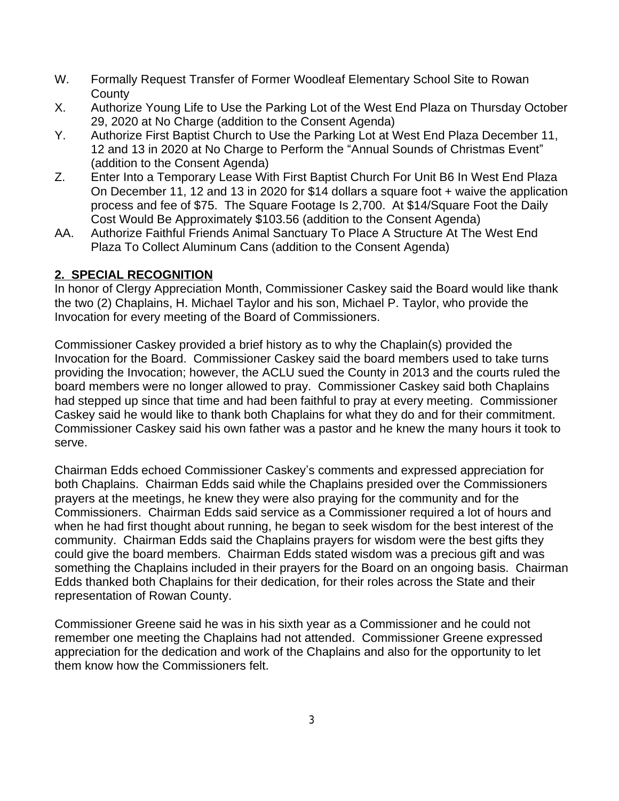- W. Formally Request Transfer of Former Woodleaf Elementary School Site to Rowan County
- X. Authorize Young Life to Use the Parking Lot of the West End Plaza on Thursday October 29, 2020 at No Charge (addition to the Consent Agenda)
- Y. Authorize First Baptist Church to Use the Parking Lot at West End Plaza December 11, 12 and 13 in 2020 at No Charge to Perform the "Annual Sounds of Christmas Event" (addition to the Consent Agenda)
- Z. Enter Into a Temporary Lease With First Baptist Church For Unit B6 In West End Plaza On December 11, 12 and 13 in 2020 for \$14 dollars a square foot + waive the application process and fee of \$75. The Square Footage Is 2,700. At \$14/Square Foot the Daily Cost Would Be Approximately \$103.56 (addition to the Consent Agenda)
- AA. Authorize Faithful Friends Animal Sanctuary To Place A Structure At The West End Plaza To Collect Aluminum Cans (addition to the Consent Agenda)

# **2. SPECIAL RECOGNITION**

In honor of Clergy Appreciation Month, Commissioner Caskey said the Board would like thank the two (2) Chaplains, H. Michael Taylor and his son, Michael P. Taylor, who provide the Invocation for every meeting of the Board of Commissioners.

Commissioner Caskey provided a brief history as to why the Chaplain(s) provided the Invocation for the Board. Commissioner Caskey said the board members used to take turns providing the Invocation; however, the ACLU sued the County in 2013 and the courts ruled the board members were no longer allowed to pray. Commissioner Caskey said both Chaplains had stepped up since that time and had been faithful to pray at every meeting. Commissioner Caskey said he would like to thank both Chaplains for what they do and for their commitment. Commissioner Caskey said his own father was a pastor and he knew the many hours it took to serve.

Chairman Edds echoed Commissioner Caskey's comments and expressed appreciation for both Chaplains. Chairman Edds said while the Chaplains presided over the Commissioners prayers at the meetings, he knew they were also praying for the community and for the Commissioners. Chairman Edds said service as a Commissioner required a lot of hours and when he had first thought about running, he began to seek wisdom for the best interest of the community. Chairman Edds said the Chaplains prayers for wisdom were the best gifts they could give the board members. Chairman Edds stated wisdom was a precious gift and was something the Chaplains included in their prayers for the Board on an ongoing basis. Chairman Edds thanked both Chaplains for their dedication, for their roles across the State and their representation of Rowan County.

Commissioner Greene said he was in his sixth year as a Commissioner and he could not remember one meeting the Chaplains had not attended. Commissioner Greene expressed appreciation for the dedication and work of the Chaplains and also for the opportunity to let them know how the Commissioners felt.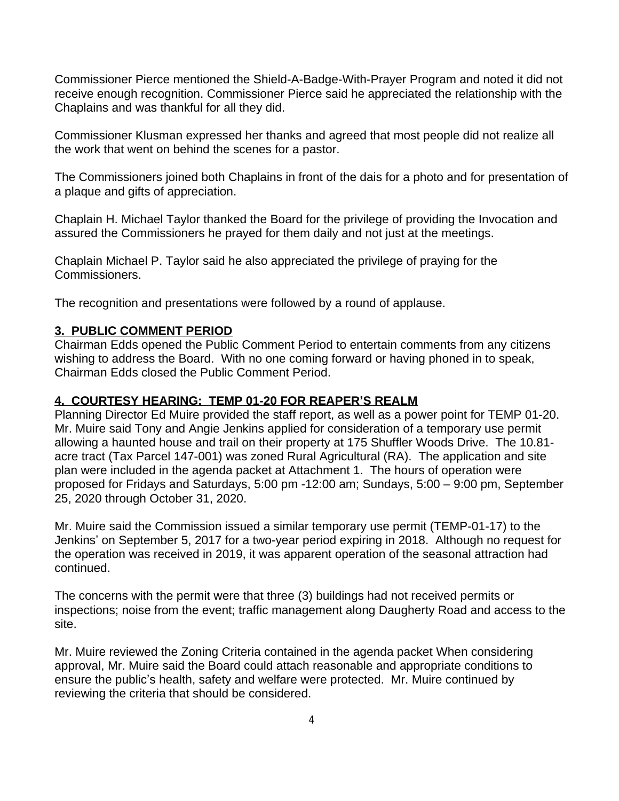Commissioner Pierce mentioned the Shield-A-Badge-With-Prayer Program and noted it did not receive enough recognition. Commissioner Pierce said he appreciated the relationship with the Chaplains and was thankful for all they did.

Commissioner Klusman expressed her thanks and agreed that most people did not realize all the work that went on behind the scenes for a pastor.

The Commissioners joined both Chaplains in front of the dais for a photo and for presentation of a plaque and gifts of appreciation.

Chaplain H. Michael Taylor thanked the Board for the privilege of providing the Invocation and assured the Commissioners he prayed for them daily and not just at the meetings.

Chaplain Michael P. Taylor said he also appreciated the privilege of praying for the Commissioners.

The recognition and presentations were followed by a round of applause.

#### **3. PUBLIC COMMENT PERIOD**

Chairman Edds opened the Public Comment Period to entertain comments from any citizens wishing to address the Board. With no one coming forward or having phoned in to speak, Chairman Edds closed the Public Comment Period.

#### **4. COURTESY HEARING: TEMP 01-20 FOR REAPER'S REALM**

Planning Director Ed Muire provided the staff report, as well as a power point for TEMP 01-20. Mr. Muire said Tony and Angie Jenkins applied for consideration of a temporary use permit allowing a haunted house and trail on their property at 175 Shuffler Woods Drive. The 10.81 acre tract (Tax Parcel 147-001) was zoned Rural Agricultural (RA). The application and site plan were included in the agenda packet at Attachment 1. The hours of operation were proposed for Fridays and Saturdays, 5:00 pm -12:00 am; Sundays, 5:00 – 9:00 pm, September 25, 2020 through October 31, 2020.

Mr. Muire said the Commission issued a similar temporary use permit (TEMP-01-17) to the Jenkins' on September 5, 2017 for a two-year period expiring in 2018. Although no request for the operation was received in 2019, it was apparent operation of the seasonal attraction had continued.

The concerns with the permit were that three (3) buildings had not received permits or inspections; noise from the event; traffic management along Daugherty Road and access to the site.

Mr. Muire reviewed the Zoning Criteria contained in the agenda packet When considering approval, Mr. Muire said the Board could attach reasonable and appropriate conditions to ensure the public's health, safety and welfare were protected. Mr. Muire continued by reviewing the criteria that should be considered.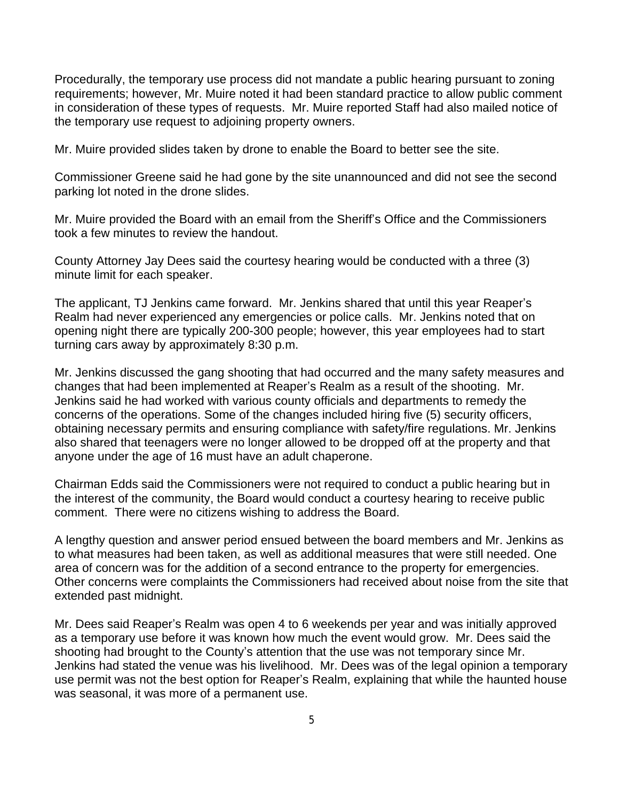Procedurally, the temporary use process did not mandate a public hearing pursuant to zoning requirements; however, Mr. Muire noted it had been standard practice to allow public comment in consideration of these types of requests. Mr. Muire reported Staff had also mailed notice of the temporary use request to adjoining property owners.

Mr. Muire provided slides taken by drone to enable the Board to better see the site.

Commissioner Greene said he had gone by the site unannounced and did not see the second parking lot noted in the drone slides.

Mr. Muire provided the Board with an email from the Sheriff's Office and the Commissioners took a few minutes to review the handout.

County Attorney Jay Dees said the courtesy hearing would be conducted with a three (3) minute limit for each speaker.

The applicant, TJ Jenkins came forward. Mr. Jenkins shared that until this year Reaper's Realm had never experienced any emergencies or police calls. Mr. Jenkins noted that on opening night there are typically 200-300 people; however, this year employees had to start turning cars away by approximately 8:30 p.m.

Mr. Jenkins discussed the gang shooting that had occurred and the many safety measures and changes that had been implemented at Reaper's Realm as a result of the shooting. Mr. Jenkins said he had worked with various county officials and departments to remedy the concerns of the operations. Some of the changes included hiring five (5) security officers, obtaining necessary permits and ensuring compliance with safety/fire regulations. Mr. Jenkins also shared that teenagers were no longer allowed to be dropped off at the property and that anyone under the age of 16 must have an adult chaperone.

Chairman Edds said the Commissioners were not required to conduct a public hearing but in the interest of the community, the Board would conduct a courtesy hearing to receive public comment. There were no citizens wishing to address the Board.

A lengthy question and answer period ensued between the board members and Mr. Jenkins as to what measures had been taken, as well as additional measures that were still needed. One area of concern was for the addition of a second entrance to the property for emergencies. Other concerns were complaints the Commissioners had received about noise from the site that extended past midnight.

Mr. Dees said Reaper's Realm was open 4 to 6 weekends per year and was initially approved as a temporary use before it was known how much the event would grow. Mr. Dees said the shooting had brought to the County's attention that the use was not temporary since Mr. Jenkins had stated the venue was his livelihood. Mr. Dees was of the legal opinion a temporary use permit was not the best option for Reaper's Realm, explaining that while the haunted house was seasonal, it was more of a permanent use.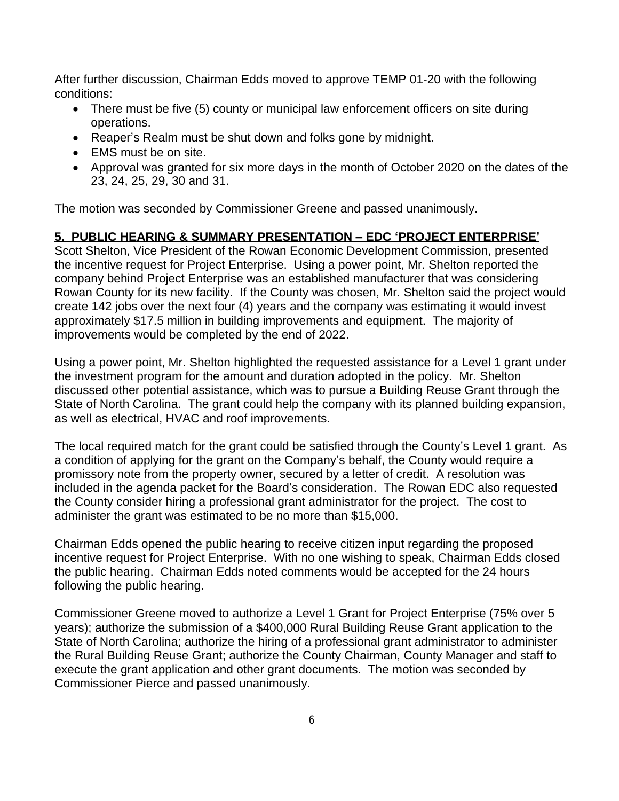After further discussion, Chairman Edds moved to approve TEMP 01-20 with the following conditions:

- There must be five (5) county or municipal law enforcement officers on site during operations.
- Reaper's Realm must be shut down and folks gone by midnight.
- FMS must be on site.
- Approval was granted for six more days in the month of October 2020 on the dates of the 23, 24, 25, 29, 30 and 31.

The motion was seconded by Commissioner Greene and passed unanimously.

### **5. PUBLIC HEARING & SUMMARY PRESENTATION – EDC 'PROJECT ENTERPRISE'**

Scott Shelton, Vice President of the Rowan Economic Development Commission, presented the incentive request for Project Enterprise. Using a power point, Mr. Shelton reported the company behind Project Enterprise was an established manufacturer that was considering Rowan County for its new facility. If the County was chosen, Mr. Shelton said the project would create 142 jobs over the next four (4) years and the company was estimating it would invest approximately \$17.5 million in building improvements and equipment. The majority of improvements would be completed by the end of 2022.

Using a power point, Mr. Shelton highlighted the requested assistance for a Level 1 grant under the investment program for the amount and duration adopted in the policy. Mr. Shelton discussed other potential assistance, which was to pursue a Building Reuse Grant through the State of North Carolina. The grant could help the company with its planned building expansion, as well as electrical, HVAC and roof improvements.

The local required match for the grant could be satisfied through the County's Level 1 grant. As a condition of applying for the grant on the Company's behalf, the County would require a promissory note from the property owner, secured by a letter of credit. A resolution was included in the agenda packet for the Board's consideration. The Rowan EDC also requested the County consider hiring a professional grant administrator for the project. The cost to administer the grant was estimated to be no more than \$15,000.

Chairman Edds opened the public hearing to receive citizen input regarding the proposed incentive request for Project Enterprise. With no one wishing to speak, Chairman Edds closed the public hearing. Chairman Edds noted comments would be accepted for the 24 hours following the public hearing.

Commissioner Greene moved to authorize a Level 1 Grant for Project Enterprise (75% over 5 years); authorize the submission of a \$400,000 Rural Building Reuse Grant application to the State of North Carolina; authorize the hiring of a professional grant administrator to administer the Rural Building Reuse Grant; authorize the County Chairman, County Manager and staff to execute the grant application and other grant documents. The motion was seconded by Commissioner Pierce and passed unanimously.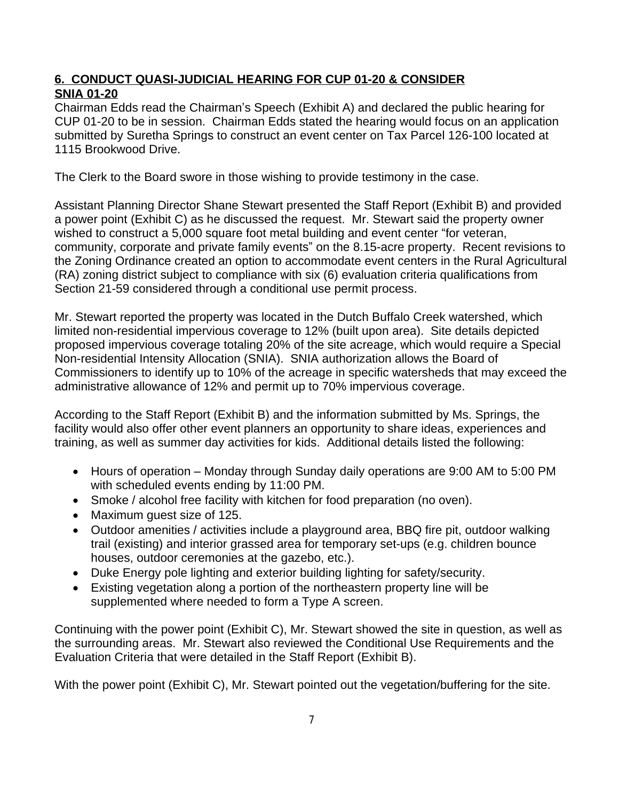# **6. CONDUCT QUASI-JUDICIAL HEARING FOR CUP 01-20 & CONSIDER SNIA 01-20**

Chairman Edds read the Chairman's Speech (Exhibit A) and declared the public hearing for CUP 01-20 to be in session. Chairman Edds stated the hearing would focus on an application submitted by Suretha Springs to construct an event center on Tax Parcel 126-100 located at 1115 Brookwood Drive.

The Clerk to the Board swore in those wishing to provide testimony in the case.

Assistant Planning Director Shane Stewart presented the Staff Report (Exhibit B) and provided a power point (Exhibit C) as he discussed the request. Mr. Stewart said the property owner wished to construct a 5,000 square foot metal building and event center "for veteran, community, corporate and private family events" on the 8.15-acre property. Recent revisions to the Zoning Ordinance created an option to accommodate event centers in the Rural Agricultural (RA) zoning district subject to compliance with six (6) evaluation criteria qualifications from Section 21-59 considered through a conditional use permit process.

Mr. Stewart reported the property was located in the Dutch Buffalo Creek watershed, which limited non-residential impervious coverage to 12% (built upon area). Site details depicted proposed impervious coverage totaling 20% of the site acreage, which would require a Special Non-residential Intensity Allocation (SNIA). SNIA authorization allows the Board of Commissioners to identify up to 10% of the acreage in specific watersheds that may exceed the administrative allowance of 12% and permit up to 70% impervious coverage.

According to the Staff Report (Exhibit B) and the information submitted by Ms. Springs, the facility would also offer other event planners an opportunity to share ideas, experiences and training, as well as summer day activities for kids. Additional details listed the following:

- Hours of operation Monday through Sunday daily operations are 9:00 AM to 5:00 PM with scheduled events ending by 11:00 PM.
- Smoke / alcohol free facility with kitchen for food preparation (no oven).
- Maximum guest size of 125.
- Outdoor amenities / activities include a playground area, BBQ fire pit, outdoor walking trail (existing) and interior grassed area for temporary set-ups (e.g. children bounce houses, outdoor ceremonies at the gazebo, etc.).
- Duke Energy pole lighting and exterior building lighting for safety/security.
- Existing vegetation along a portion of the northeastern property line will be supplemented where needed to form a Type A screen.

Continuing with the power point (Exhibit C), Mr. Stewart showed the site in question, as well as the surrounding areas. Mr. Stewart also reviewed the Conditional Use Requirements and the Evaluation Criteria that were detailed in the Staff Report (Exhibit B).

With the power point (Exhibit C), Mr. Stewart pointed out the vegetation/buffering for the site.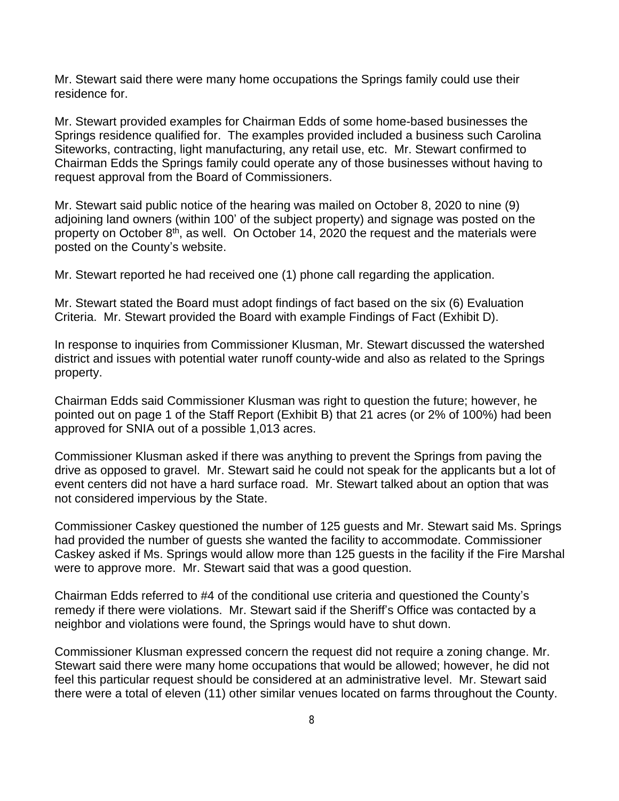Mr. Stewart said there were many home occupations the Springs family could use their residence for.

Mr. Stewart provided examples for Chairman Edds of some home-based businesses the Springs residence qualified for. The examples provided included a business such Carolina Siteworks, contracting, light manufacturing, any retail use, etc. Mr. Stewart confirmed to Chairman Edds the Springs family could operate any of those businesses without having to request approval from the Board of Commissioners.

Mr. Stewart said public notice of the hearing was mailed on October 8, 2020 to nine (9) adjoining land owners (within 100' of the subject property) and signage was posted on the property on October 8th, as well. On October 14, 2020 the request and the materials were posted on the County's website.

Mr. Stewart reported he had received one (1) phone call regarding the application.

Mr. Stewart stated the Board must adopt findings of fact based on the six (6) Evaluation Criteria. Mr. Stewart provided the Board with example Findings of Fact (Exhibit D).

In response to inquiries from Commissioner Klusman, Mr. Stewart discussed the watershed district and issues with potential water runoff county-wide and also as related to the Springs property.

Chairman Edds said Commissioner Klusman was right to question the future; however, he pointed out on page 1 of the Staff Report (Exhibit B) that 21 acres (or 2% of 100%) had been approved for SNIA out of a possible 1,013 acres.

Commissioner Klusman asked if there was anything to prevent the Springs from paving the drive as opposed to gravel. Mr. Stewart said he could not speak for the applicants but a lot of event centers did not have a hard surface road. Mr. Stewart talked about an option that was not considered impervious by the State.

Commissioner Caskey questioned the number of 125 guests and Mr. Stewart said Ms. Springs had provided the number of guests she wanted the facility to accommodate. Commissioner Caskey asked if Ms. Springs would allow more than 125 guests in the facility if the Fire Marshal were to approve more. Mr. Stewart said that was a good question.

Chairman Edds referred to #4 of the conditional use criteria and questioned the County's remedy if there were violations. Mr. Stewart said if the Sheriff's Office was contacted by a neighbor and violations were found, the Springs would have to shut down.

Commissioner Klusman expressed concern the request did not require a zoning change. Mr. Stewart said there were many home occupations that would be allowed; however, he did not feel this particular request should be considered at an administrative level. Mr. Stewart said there were a total of eleven (11) other similar venues located on farms throughout the County.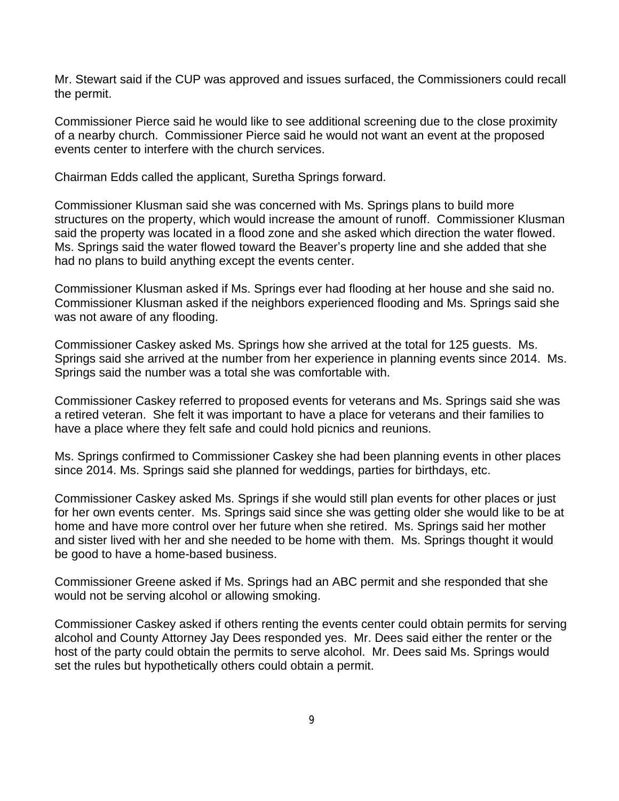Mr. Stewart said if the CUP was approved and issues surfaced, the Commissioners could recall the permit.

Commissioner Pierce said he would like to see additional screening due to the close proximity of a nearby church. Commissioner Pierce said he would not want an event at the proposed events center to interfere with the church services.

Chairman Edds called the applicant, Suretha Springs forward.

Commissioner Klusman said she was concerned with Ms. Springs plans to build more structures on the property, which would increase the amount of runoff. Commissioner Klusman said the property was located in a flood zone and she asked which direction the water flowed. Ms. Springs said the water flowed toward the Beaver's property line and she added that she had no plans to build anything except the events center.

Commissioner Klusman asked if Ms. Springs ever had flooding at her house and she said no. Commissioner Klusman asked if the neighbors experienced flooding and Ms. Springs said she was not aware of any flooding.

Commissioner Caskey asked Ms. Springs how she arrived at the total for 125 guests. Ms. Springs said she arrived at the number from her experience in planning events since 2014. Ms. Springs said the number was a total she was comfortable with.

Commissioner Caskey referred to proposed events for veterans and Ms. Springs said she was a retired veteran. She felt it was important to have a place for veterans and their families to have a place where they felt safe and could hold picnics and reunions.

Ms. Springs confirmed to Commissioner Caskey she had been planning events in other places since 2014. Ms. Springs said she planned for weddings, parties for birthdays, etc.

Commissioner Caskey asked Ms. Springs if she would still plan events for other places or just for her own events center. Ms. Springs said since she was getting older she would like to be at home and have more control over her future when she retired. Ms. Springs said her mother and sister lived with her and she needed to be home with them. Ms. Springs thought it would be good to have a home-based business.

Commissioner Greene asked if Ms. Springs had an ABC permit and she responded that she would not be serving alcohol or allowing smoking.

Commissioner Caskey asked if others renting the events center could obtain permits for serving alcohol and County Attorney Jay Dees responded yes. Mr. Dees said either the renter or the host of the party could obtain the permits to serve alcohol. Mr. Dees said Ms. Springs would set the rules but hypothetically others could obtain a permit.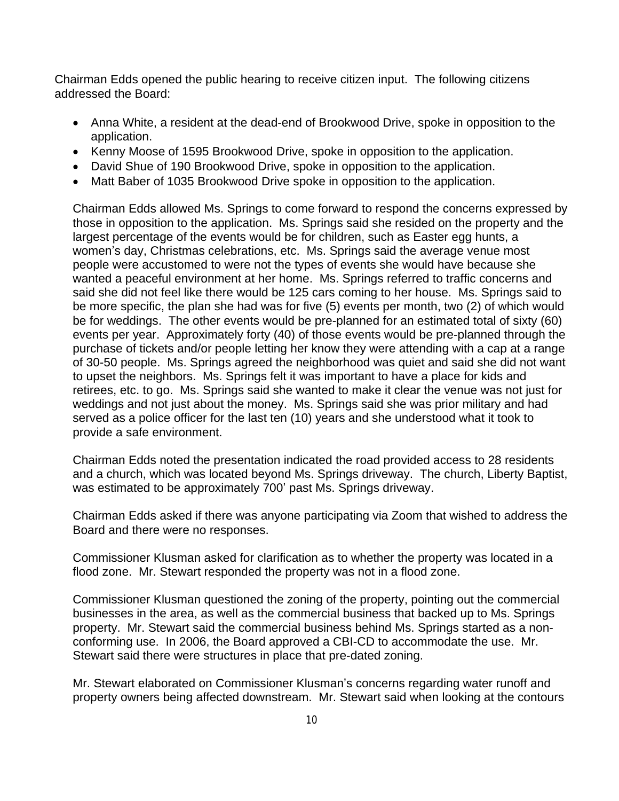Chairman Edds opened the public hearing to receive citizen input. The following citizens addressed the Board:

- Anna White, a resident at the dead-end of Brookwood Drive, spoke in opposition to the application.
- Kenny Moose of 1595 Brookwood Drive, spoke in opposition to the application.
- David Shue of 190 Brookwood Drive, spoke in opposition to the application.
- Matt Baber of 1035 Brookwood Drive spoke in opposition to the application.

Chairman Edds allowed Ms. Springs to come forward to respond the concerns expressed by those in opposition to the application. Ms. Springs said she resided on the property and the largest percentage of the events would be for children, such as Easter egg hunts, a women's day, Christmas celebrations, etc. Ms. Springs said the average venue most people were accustomed to were not the types of events she would have because she wanted a peaceful environment at her home. Ms. Springs referred to traffic concerns and said she did not feel like there would be 125 cars coming to her house. Ms. Springs said to be more specific, the plan she had was for five (5) events per month, two (2) of which would be for weddings. The other events would be pre-planned for an estimated total of sixty (60) events per year. Approximately forty (40) of those events would be pre-planned through the purchase of tickets and/or people letting her know they were attending with a cap at a range of 30-50 people. Ms. Springs agreed the neighborhood was quiet and said she did not want to upset the neighbors. Ms. Springs felt it was important to have a place for kids and retirees, etc. to go. Ms. Springs said she wanted to make it clear the venue was not just for weddings and not just about the money. Ms. Springs said she was prior military and had served as a police officer for the last ten (10) years and she understood what it took to provide a safe environment.

Chairman Edds noted the presentation indicated the road provided access to 28 residents and a church, which was located beyond Ms. Springs driveway. The church, Liberty Baptist, was estimated to be approximately 700' past Ms. Springs driveway.

Chairman Edds asked if there was anyone participating via Zoom that wished to address the Board and there were no responses.

Commissioner Klusman asked for clarification as to whether the property was located in a flood zone. Mr. Stewart responded the property was not in a flood zone.

Commissioner Klusman questioned the zoning of the property, pointing out the commercial businesses in the area, as well as the commercial business that backed up to Ms. Springs property. Mr. Stewart said the commercial business behind Ms. Springs started as a nonconforming use. In 2006, the Board approved a CBI-CD to accommodate the use. Mr. Stewart said there were structures in place that pre-dated zoning.

Mr. Stewart elaborated on Commissioner Klusman's concerns regarding water runoff and property owners being affected downstream. Mr. Stewart said when looking at the contours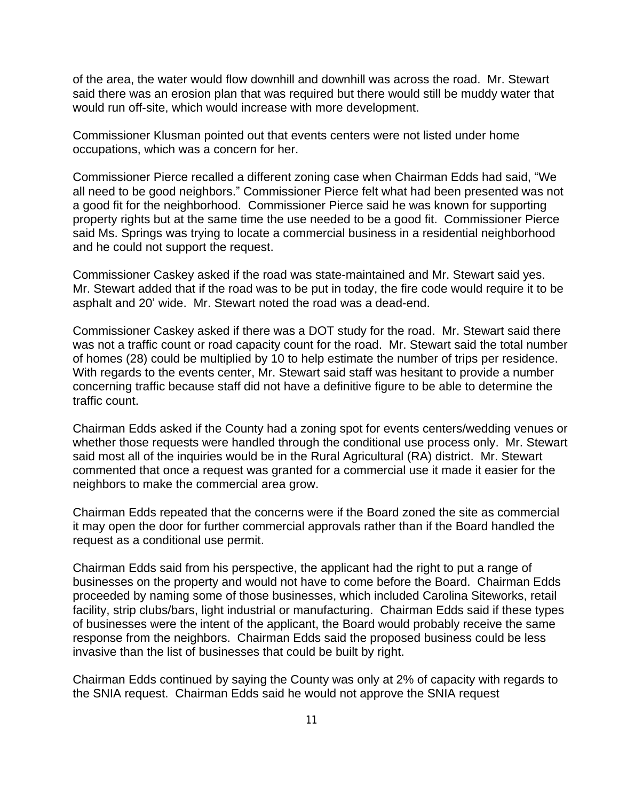of the area, the water would flow downhill and downhill was across the road. Mr. Stewart said there was an erosion plan that was required but there would still be muddy water that would run off-site, which would increase with more development.

Commissioner Klusman pointed out that events centers were not listed under home occupations, which was a concern for her.

Commissioner Pierce recalled a different zoning case when Chairman Edds had said, "We all need to be good neighbors." Commissioner Pierce felt what had been presented was not a good fit for the neighborhood. Commissioner Pierce said he was known for supporting property rights but at the same time the use needed to be a good fit. Commissioner Pierce said Ms. Springs was trying to locate a commercial business in a residential neighborhood and he could not support the request.

Commissioner Caskey asked if the road was state-maintained and Mr. Stewart said yes. Mr. Stewart added that if the road was to be put in today, the fire code would require it to be asphalt and 20' wide. Mr. Stewart noted the road was a dead-end.

Commissioner Caskey asked if there was a DOT study for the road. Mr. Stewart said there was not a traffic count or road capacity count for the road. Mr. Stewart said the total number of homes (28) could be multiplied by 10 to help estimate the number of trips per residence. With regards to the events center, Mr. Stewart said staff was hesitant to provide a number concerning traffic because staff did not have a definitive figure to be able to determine the traffic count.

Chairman Edds asked if the County had a zoning spot for events centers/wedding venues or whether those requests were handled through the conditional use process only. Mr. Stewart said most all of the inquiries would be in the Rural Agricultural (RA) district. Mr. Stewart commented that once a request was granted for a commercial use it made it easier for the neighbors to make the commercial area grow.

Chairman Edds repeated that the concerns were if the Board zoned the site as commercial it may open the door for further commercial approvals rather than if the Board handled the request as a conditional use permit.

Chairman Edds said from his perspective, the applicant had the right to put a range of businesses on the property and would not have to come before the Board. Chairman Edds proceeded by naming some of those businesses, which included Carolina Siteworks, retail facility, strip clubs/bars, light industrial or manufacturing. Chairman Edds said if these types of businesses were the intent of the applicant, the Board would probably receive the same response from the neighbors. Chairman Edds said the proposed business could be less invasive than the list of businesses that could be built by right.

Chairman Edds continued by saying the County was only at 2% of capacity with regards to the SNIA request. Chairman Edds said he would not approve the SNIA request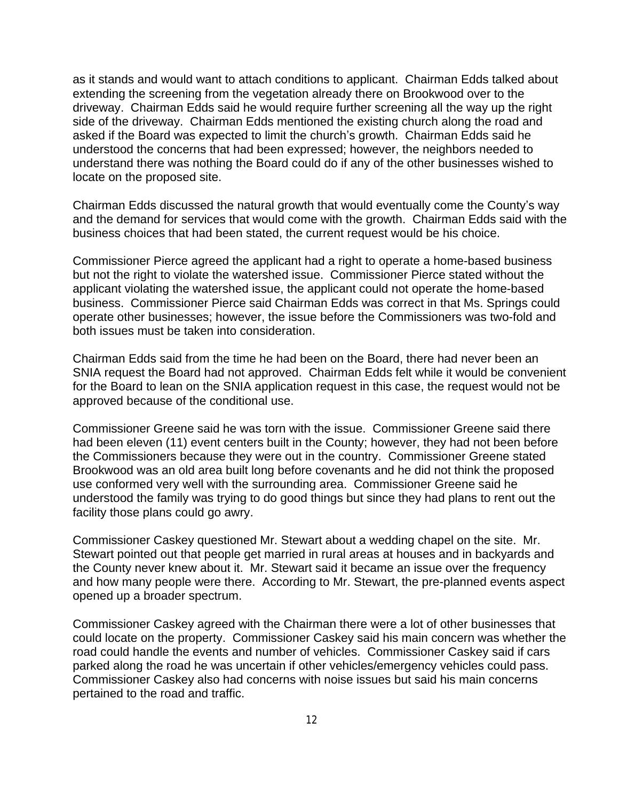as it stands and would want to attach conditions to applicant. Chairman Edds talked about extending the screening from the vegetation already there on Brookwood over to the driveway. Chairman Edds said he would require further screening all the way up the right side of the driveway. Chairman Edds mentioned the existing church along the road and asked if the Board was expected to limit the church's growth. Chairman Edds said he understood the concerns that had been expressed; however, the neighbors needed to understand there was nothing the Board could do if any of the other businesses wished to locate on the proposed site.

Chairman Edds discussed the natural growth that would eventually come the County's way and the demand for services that would come with the growth. Chairman Edds said with the business choices that had been stated, the current request would be his choice.

Commissioner Pierce agreed the applicant had a right to operate a home-based business but not the right to violate the watershed issue. Commissioner Pierce stated without the applicant violating the watershed issue, the applicant could not operate the home-based business. Commissioner Pierce said Chairman Edds was correct in that Ms. Springs could operate other businesses; however, the issue before the Commissioners was two-fold and both issues must be taken into consideration.

Chairman Edds said from the time he had been on the Board, there had never been an SNIA request the Board had not approved. Chairman Edds felt while it would be convenient for the Board to lean on the SNIA application request in this case, the request would not be approved because of the conditional use.

Commissioner Greene said he was torn with the issue. Commissioner Greene said there had been eleven (11) event centers built in the County; however, they had not been before the Commissioners because they were out in the country. Commissioner Greene stated Brookwood was an old area built long before covenants and he did not think the proposed use conformed very well with the surrounding area. Commissioner Greene said he understood the family was trying to do good things but since they had plans to rent out the facility those plans could go awry.

Commissioner Caskey questioned Mr. Stewart about a wedding chapel on the site. Mr. Stewart pointed out that people get married in rural areas at houses and in backyards and the County never knew about it. Mr. Stewart said it became an issue over the frequency and how many people were there. According to Mr. Stewart, the pre-planned events aspect opened up a broader spectrum.

Commissioner Caskey agreed with the Chairman there were a lot of other businesses that could locate on the property. Commissioner Caskey said his main concern was whether the road could handle the events and number of vehicles. Commissioner Caskey said if cars parked along the road he was uncertain if other vehicles/emergency vehicles could pass. Commissioner Caskey also had concerns with noise issues but said his main concerns pertained to the road and traffic.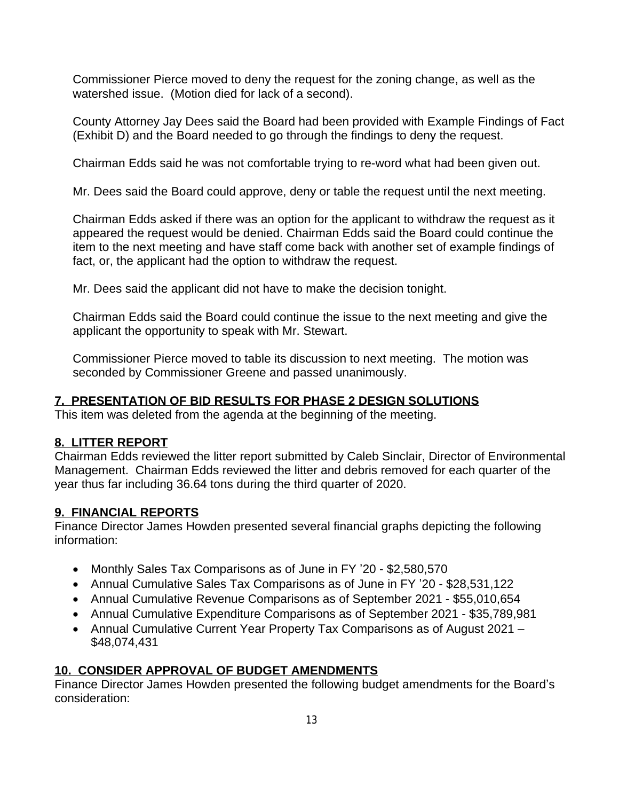Commissioner Pierce moved to deny the request for the zoning change, as well as the watershed issue. (Motion died for lack of a second).

County Attorney Jay Dees said the Board had been provided with Example Findings of Fact (Exhibit D) and the Board needed to go through the findings to deny the request.

Chairman Edds said he was not comfortable trying to re-word what had been given out.

Mr. Dees said the Board could approve, deny or table the request until the next meeting.

Chairman Edds asked if there was an option for the applicant to withdraw the request as it appeared the request would be denied. Chairman Edds said the Board could continue the item to the next meeting and have staff come back with another set of example findings of fact, or, the applicant had the option to withdraw the request.

Mr. Dees said the applicant did not have to make the decision tonight.

Chairman Edds said the Board could continue the issue to the next meeting and give the applicant the opportunity to speak with Mr. Stewart.

Commissioner Pierce moved to table its discussion to next meeting. The motion was seconded by Commissioner Greene and passed unanimously.

# **7. PRESENTATION OF BID RESULTS FOR PHASE 2 DESIGN SOLUTIONS**

This item was deleted from the agenda at the beginning of the meeting.

# **8. LITTER REPORT**

Chairman Edds reviewed the litter report submitted by Caleb Sinclair, Director of Environmental Management. Chairman Edds reviewed the litter and debris removed for each quarter of the year thus far including 36.64 tons during the third quarter of 2020.

# **9. FINANCIAL REPORTS**

Finance Director James Howden presented several financial graphs depicting the following information:

- Monthly Sales Tax Comparisons as of June in FY '20 \$2,580,570
- Annual Cumulative Sales Tax Comparisons as of June in FY '20 \$28,531,122
- Annual Cumulative Revenue Comparisons as of September 2021 \$55,010,654
- Annual Cumulative Expenditure Comparisons as of September 2021 \$35,789,981
- Annual Cumulative Current Year Property Tax Comparisons as of August 2021 -\$48,074,431

# **10. CONSIDER APPROVAL OF BUDGET AMENDMENTS**

Finance Director James Howden presented the following budget amendments for the Board's consideration: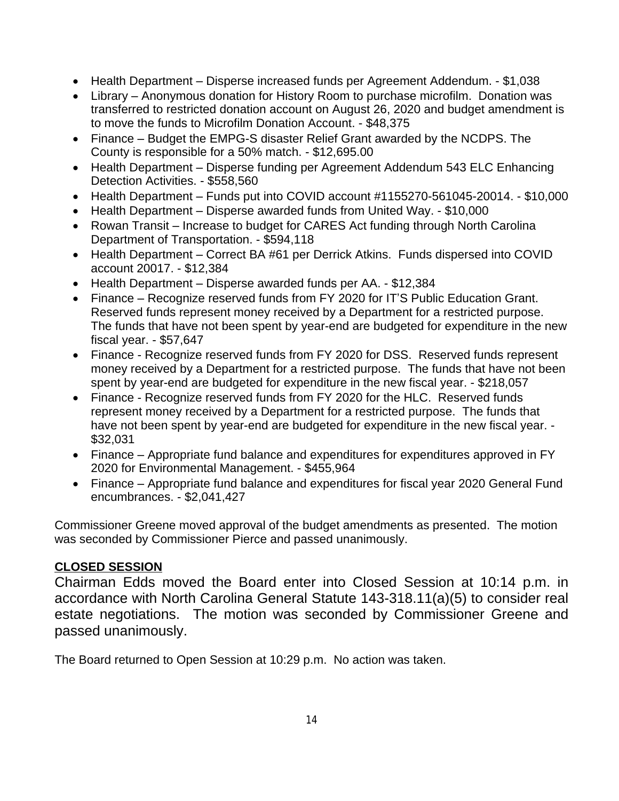- Health Department Disperse increased funds per Agreement Addendum. \$1,038
- Library Anonymous donation for History Room to purchase microfilm. Donation was transferred to restricted donation account on August 26, 2020 and budget amendment is to move the funds to Microfilm Donation Account. - \$48,375
- Finance Budget the EMPG-S disaster Relief Grant awarded by the NCDPS. The County is responsible for a 50% match. - \$12,695.00
- Health Department Disperse funding per Agreement Addendum 543 ELC Enhancing Detection Activities. - \$558,560
- Health Department Funds put into COVID account #1155270-561045-20014. \$10,000
- Health Department Disperse awarded funds from United Way. \$10,000
- Rowan Transit Increase to budget for CARES Act funding through North Carolina Department of Transportation. - \$594,118
- Health Department Correct BA #61 per Derrick Atkins. Funds dispersed into COVID account 20017. - \$12,384
- Health Department Disperse awarded funds per AA. \$12,384
- Finance Recognize reserved funds from FY 2020 for IT'S Public Education Grant. Reserved funds represent money received by a Department for a restricted purpose. The funds that have not been spent by year-end are budgeted for expenditure in the new fiscal year. - \$57,647
- Finance Recognize reserved funds from FY 2020 for DSS. Reserved funds represent money received by a Department for a restricted purpose. The funds that have not been spent by year-end are budgeted for expenditure in the new fiscal year. - \$218,057
- Finance Recognize reserved funds from FY 2020 for the HLC. Reserved funds represent money received by a Department for a restricted purpose. The funds that have not been spent by year-end are budgeted for expenditure in the new fiscal year. -\$32,031
- Finance Appropriate fund balance and expenditures for expenditures approved in FY 2020 for Environmental Management. - \$455,964
- Finance Appropriate fund balance and expenditures for fiscal year 2020 General Fund encumbrances. - \$2,041,427

Commissioner Greene moved approval of the budget amendments as presented. The motion was seconded by Commissioner Pierce and passed unanimously.

# **CLOSED SESSION**

Chairman Edds moved the Board enter into Closed Session at 10:14 p.m. in accordance with North Carolina General Statute 143-318.11(a)(5) to consider real estate negotiations. The motion was seconded by Commissioner Greene and passed unanimously.

The Board returned to Open Session at 10:29 p.m. No action was taken.